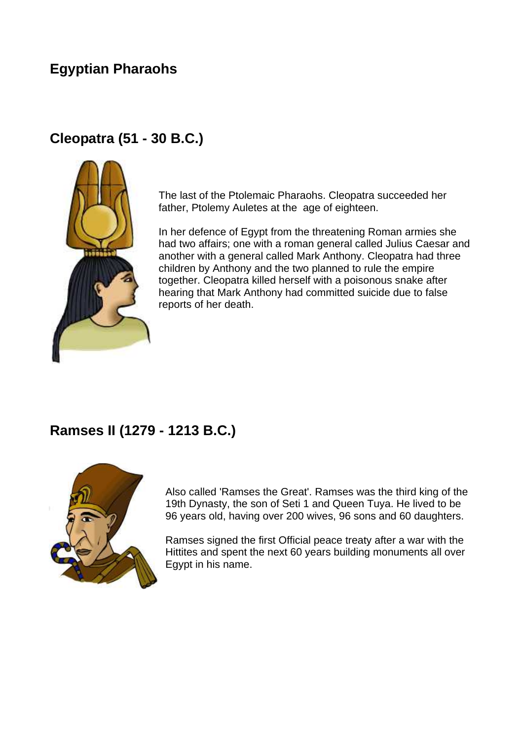## **Egyptian Pharaohs**

### **Cleopatra (51 - 30 B.C.)**



The last of the Ptolemaic Pharaohs. Cleopatra succeeded her father, Ptolemy Auletes at the age of eighteen.

In her defence of Egypt from the threatening Roman armies she had two affairs; one with a roman general called Julius Caesar and another with a general called Mark Anthony. Cleopatra had three children by Anthony and the two planned to rule the empire together. Cleopatra killed herself with a poisonous snake after hearing that Mark Anthony had committed suicide due to false reports of her death.

#### **Ramses II (1279 - 1213 B.C.)**



Also called 'Ramses the Great'. Ramses was the third king of the 19th Dynasty, the son of Seti 1 and Queen Tuya. He lived to be 96 years old, having over 200 wives, 96 sons and 60 daughters.

Ramses signed the first Official peace treaty after a war with the Hittites and spent the next 60 years building monuments all over Egypt in his name.